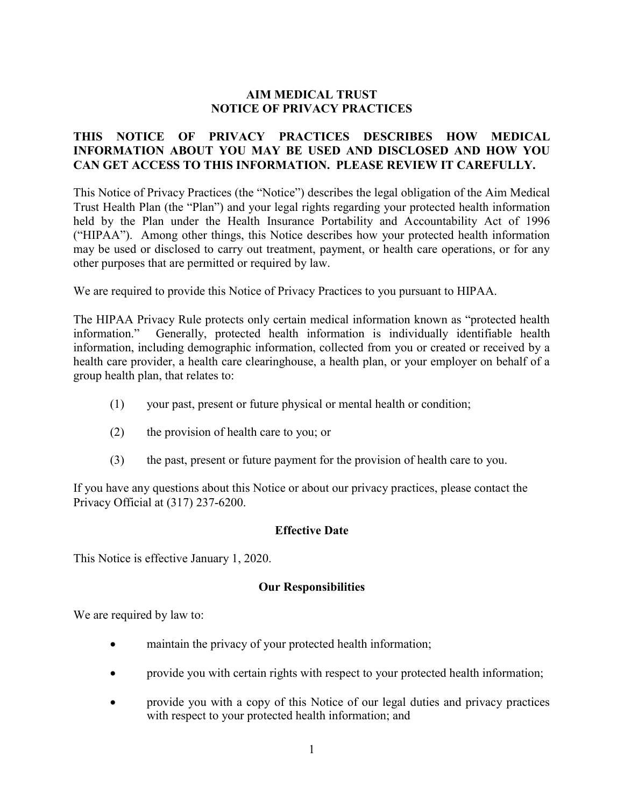## **AIM MEDICAL TRUST NOTICE OF PRIVACY PRACTICES**

### **THIS NOTICE OF PRIVACY PRACTICES DESCRIBES HOW MEDICAL INFORMATION ABOUT YOU MAY BE USED AND DISCLOSED AND HOW YOU CAN GET ACCESS TO THIS INFORMATION. PLEASE REVIEW IT CAREFULLY.**

This Notice of Privacy Practices (the "Notice") describes the legal obligation of the Aim Medical Trust Health Plan (the "Plan") and your legal rights regarding your protected health information held by the Plan under the Health Insurance Portability and Accountability Act of 1996 ("HIPAA"). Among other things, this Notice describes how your protected health information may be used or disclosed to carry out treatment, payment, or health care operations, or for any other purposes that are permitted or required by law.

We are required to provide this Notice of Privacy Practices to you pursuant to HIPAA.

The HIPAA Privacy Rule protects only certain medical information known as "protected health information." Generally, protected health information is individually identifiable health information, including demographic information, collected from you or created or received by a health care provider, a health care clearinghouse, a health plan, or your employer on behalf of a group health plan, that relates to:

- (1) your past, present or future physical or mental health or condition;
- (2) the provision of health care to you; or
- (3) the past, present or future payment for the provision of health care to you.

If you have any questions about this Notice or about our privacy practices, please contact the Privacy Official at (317) 237-6200.

### **Effective Date**

This Notice is effective January 1, 2020.

#### **Our Responsibilities**

We are required by law to:

- maintain the privacy of your protected health information;
- provide you with certain rights with respect to your protected health information;
- provide you with a copy of this Notice of our legal duties and privacy practices with respect to your protected health information; and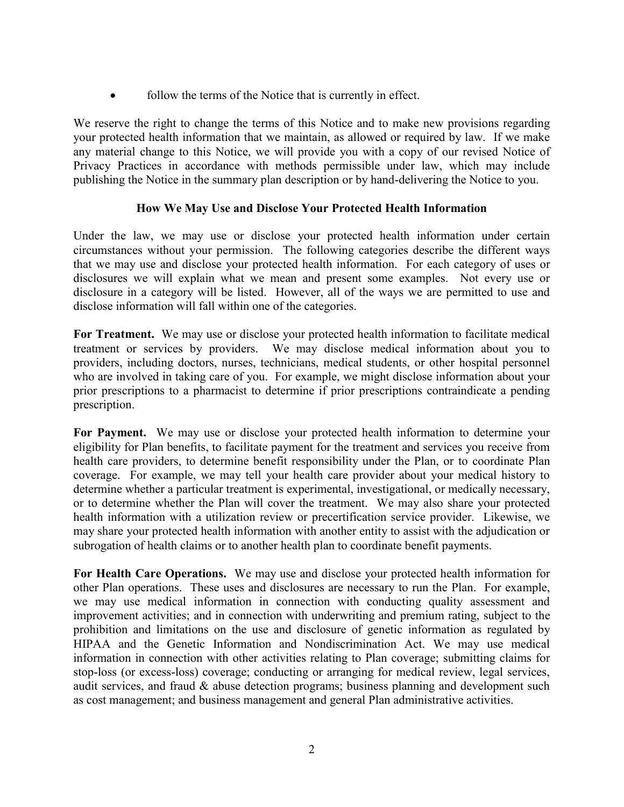• follow the terms of the Notice that is currently in effect.

We reserve the right to change the terms of this Notice and to make new provisions regarding your protected health information that we maintain, as allowed or required by law. If we make any material change to this Notice, we will provide you with a copy of our revised Notice of Privacy Practices in accordance with methods permissible under law, which may include publishing the Notice in the summary plan description or by hand-delivering the Notice to you.

# **How We May Use and Disclose Your Protected Health Information**

Under the law, we may use or disclose your protected health information under certain circumstances without your permission. The following categories describe the different ways that we may use and disclose your protected health information. For each category of uses or disclosures we will explain what we mean and present some examples. Not every use or disclosure in a category will be listed. However, all of the ways we are permitted to use and disclose information will fall within one of the categories.

**For Treatment.** We may use or disclose your protected health information to facilitate medical treatment or services by providers. We may disclose medical information about you to providers, including doctors, nurses, technicians, medical students, or other hospital personnel who are involved in taking care of you. For example, we might disclose information about your prior prescriptions to a pharmacist to determine if prior prescriptions contraindicate a pending prescription.

**For Payment.** We may use or disclose your protected health information to determine your eligibility for Plan benefits, to facilitate payment for the treatment and services you receive from health care providers, to determine benefit responsibility under the Plan, or to coordinate Plan coverage. For example, we may tell your health care provider about your medical history to determine whether a particular treatment is experimental, investigational, or medically necessary, or to determine whether the Plan will cover the treatment. We may also share your protected health information with a utilization review or precertification service provider. Likewise, we may share your protected health information with another entity to assist with the adjudication or subrogation of health claims or to another health plan to coordinate benefit payments.

**For Health Care Operations.** We may use and disclose your protected health information for other Plan operations. These uses and disclosures are necessary to run the Plan. For example, we may use medical information in connection with conducting quality assessment and improvement activities; and in connection with underwriting and premium rating, subject to the prohibition and limitations on the use and disclosure of genetic information as regulated by HIPAA and the Genetic Information and Nondiscrimination Act. We may use medical information in connection with other activities relating to Plan coverage; submitting claims for stop-loss (or excess-loss) coverage; conducting or arranging for medical review, legal services, audit services, and fraud  $\&$  abuse detection programs; business planning and development such as cost management; and business management and general Plan administrative activities.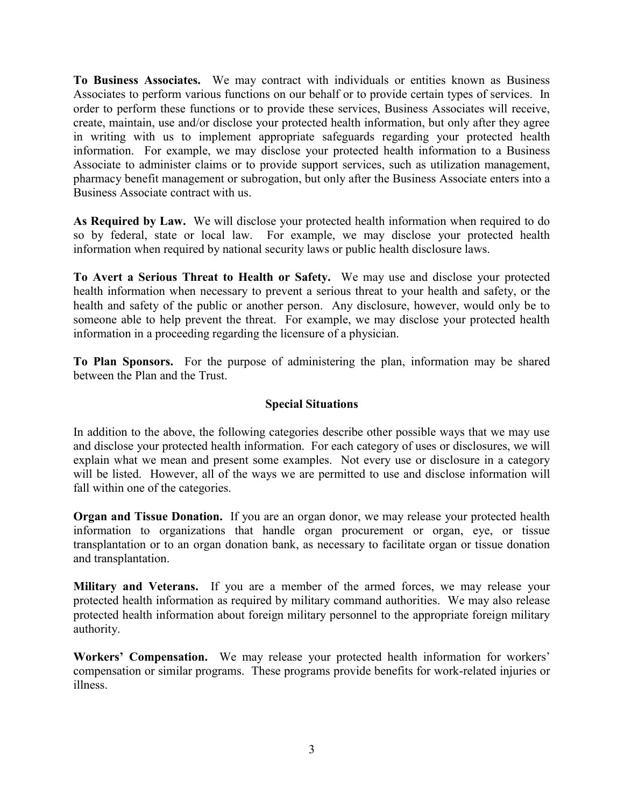**To Business Associates.** We may contract with individuals or entities known as Business Associates to perform various functions on our behalf or to provide certain types of services. In order to perform these functions or to provide these services, Business Associates will receive, create, maintain, use and/or disclose your protected health information, but only after they agree in writing with us to implement appropriate safeguards regarding your protected health information. For example, we may disclose your protected health information to a Business Associate to administer claims or to provide support services, such as utilization management, pharmacy benefit management or subrogation, but only after the Business Associate enters into a Business Associate contract with us.

**As Required by Law.** We will disclose your protected health information when required to do so by federal, state or local law. For example, we may disclose your protected health information when required by national security laws or public health disclosure laws.

**To Avert a Serious Threat to Health or Safety.** We may use and disclose your protected health information when necessary to prevent a serious threat to your health and safety, or the health and safety of the public or another person. Any disclosure, however, would only be to someone able to help prevent the threat. For example, we may disclose your protected health information in a proceeding regarding the licensure of a physician.

**To Plan Sponsors.** For the purpose of administering the plan, information may be shared between the Plan and the Trust.

# **Special Situations**

In addition to the above, the following categories describe other possible ways that we may use and disclose your protected health information. For each category of uses or disclosures, we will explain what we mean and present some examples. Not every use or disclosure in a category will be listed. However, all of the ways we are permitted to use and disclose information will fall within one of the categories.

**Organ and Tissue Donation.** If you are an organ donor, we may release your protected health information to organizations that handle organ procurement or organ, eye, or tissue transplantation or to an organ donation bank, as necessary to facilitate organ or tissue donation and transplantation.

**Military and Veterans.** If you are a member of the armed forces, we may release your protected health information as required by military command authorities. We may also release protected health information about foreign military personnel to the appropriate foreign military authority.

**Workers' Compensation.** We may release your protected health information for workers' compensation or similar programs. These programs provide benefits for work-related injuries or illness.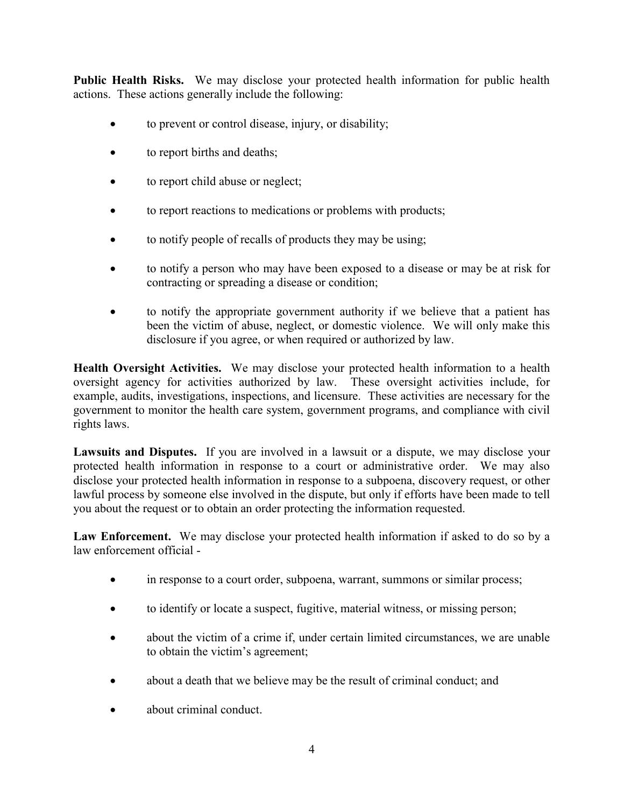**Public Health Risks.** We may disclose your protected health information for public health actions. These actions generally include the following:

- to prevent or control disease, injury, or disability;
- to report births and deaths;
- to report child abuse or neglect;
- to report reactions to medications or problems with products;
- to notify people of recalls of products they may be using;
- to notify a person who may have been exposed to a disease or may be at risk for contracting or spreading a disease or condition;
- to notify the appropriate government authority if we believe that a patient has been the victim of abuse, neglect, or domestic violence. We will only make this disclosure if you agree, or when required or authorized by law.

**Health Oversight Activities.** We may disclose your protected health information to a health oversight agency for activities authorized by law. These oversight activities include, for example, audits, investigations, inspections, and licensure. These activities are necessary for the government to monitor the health care system, government programs, and compliance with civil rights laws.

**Lawsuits and Disputes.** If you are involved in a lawsuit or a dispute, we may disclose your protected health information in response to a court or administrative order. We may also disclose your protected health information in response to a subpoena, discovery request, or other lawful process by someone else involved in the dispute, but only if efforts have been made to tell you about the request or to obtain an order protecting the information requested.

Law Enforcement. We may disclose your protected health information if asked to do so by a law enforcement official -

- in response to a court order, subpoena, warrant, summons or similar process;
- to identify or locate a suspect, fugitive, material witness, or missing person;
- about the victim of a crime if, under certain limited circumstances, we are unable to obtain the victim's agreement;
- about a death that we believe may be the result of criminal conduct; and
- about criminal conduct.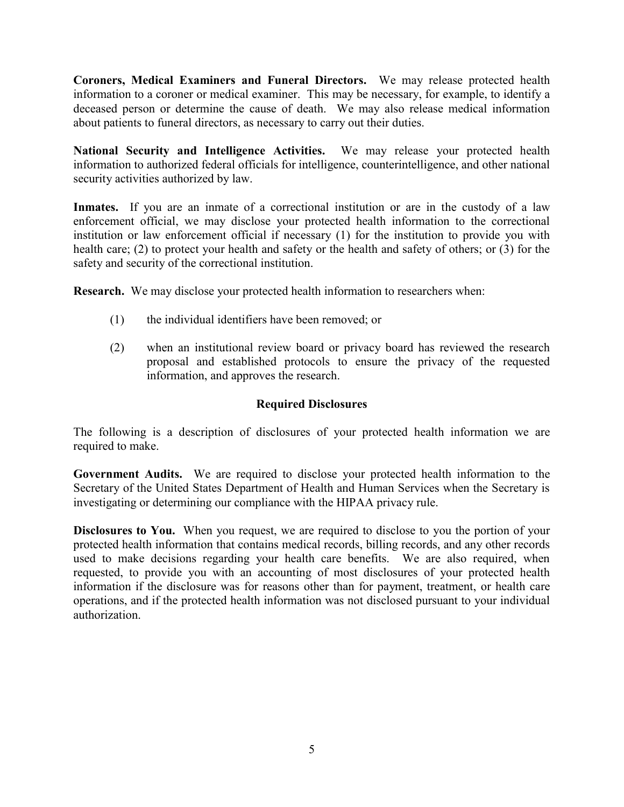**Coroners, Medical Examiners and Funeral Directors.** We may release protected health information to a coroner or medical examiner. This may be necessary, for example, to identify a deceased person or determine the cause of death. We may also release medical information about patients to funeral directors, as necessary to carry out their duties.

**National Security and Intelligence Activities.** We may release your protected health information to authorized federal officials for intelligence, counterintelligence, and other national security activities authorized by law.

**Inmates.** If you are an inmate of a correctional institution or are in the custody of a law enforcement official, we may disclose your protected health information to the correctional institution or law enforcement official if necessary (1) for the institution to provide you with health care; (2) to protect your health and safety or the health and safety of others; or (3) for the safety and security of the correctional institution.

**Research.** We may disclose your protected health information to researchers when:

- (1) the individual identifiers have been removed; or
- (2) when an institutional review board or privacy board has reviewed the research proposal and established protocols to ensure the privacy of the requested information, and approves the research.

## **Required Disclosures**

The following is a description of disclosures of your protected health information we are required to make.

**Government Audits.** We are required to disclose your protected health information to the Secretary of the United States Department of Health and Human Services when the Secretary is investigating or determining our compliance with the HIPAA privacy rule.

**Disclosures to You.** When you request, we are required to disclose to you the portion of your protected health information that contains medical records, billing records, and any other records used to make decisions regarding your health care benefits. We are also required, when requested, to provide you with an accounting of most disclosures of your protected health information if the disclosure was for reasons other than for payment, treatment, or health care operations, and if the protected health information was not disclosed pursuant to your individual authorization.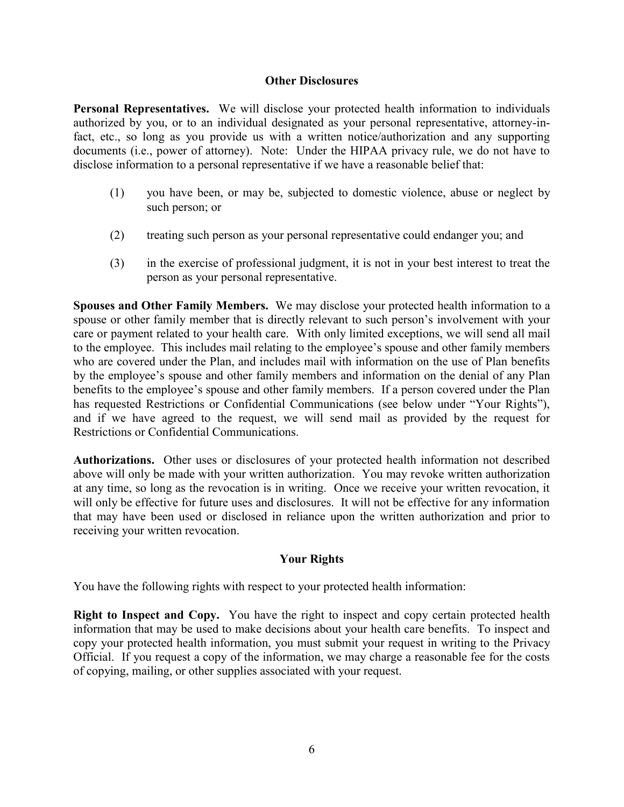#### **Other Disclosures**

**Personal Representatives.** We will disclose your protected health information to individuals authorized by you, or to an individual designated as your personal representative, attorney-infact, etc., so long as you provide us with a written notice/authorization and any supporting documents (i.e., power of attorney). Note: Under the HIPAA privacy rule, we do not have to disclose information to a personal representative if we have a reasonable belief that:

- (1) you have been, or may be, subjected to domestic violence, abuse or neglect by such person; or
- (2) treating such person as your personal representative could endanger you; and
- (3) in the exercise of professional judgment, it is not in your best interest to treat the person as your personal representative.

**Spouses and Other Family Members.** We may disclose your protected health information to a spouse or other family member that is directly relevant to such person's involvement with your care or payment related to your health care. With only limited exceptions, we will send all mail to the employee. This includes mail relating to the employee's spouse and other family members who are covered under the Plan, and includes mail with information on the use of Plan benefits by the employee's spouse and other family members and information on the denial of any Plan benefits to the employee's spouse and other family members. If a person covered under the Plan has requested Restrictions or Confidential Communications (see below under "Your Rights"), and if we have agreed to the request, we will send mail as provided by the request for Restrictions or Confidential Communications.

**Authorizations.** Other uses or disclosures of your protected health information not described above will only be made with your written authorization. You may revoke written authorization at any time, so long as the revocation is in writing. Once we receive your written revocation, it will only be effective for future uses and disclosures. It will not be effective for any information that may have been used or disclosed in reliance upon the written authorization and prior to receiving your written revocation.

# **Your Rights**

You have the following rights with respect to your protected health information:

**Right to Inspect and Copy.** You have the right to inspect and copy certain protected health information that may be used to make decisions about your health care benefits. To inspect and copy your protected health information, you must submit your request in writing to the Privacy Official. If you request a copy of the information, we may charge a reasonable fee for the costs of copying, mailing, or other supplies associated with your request.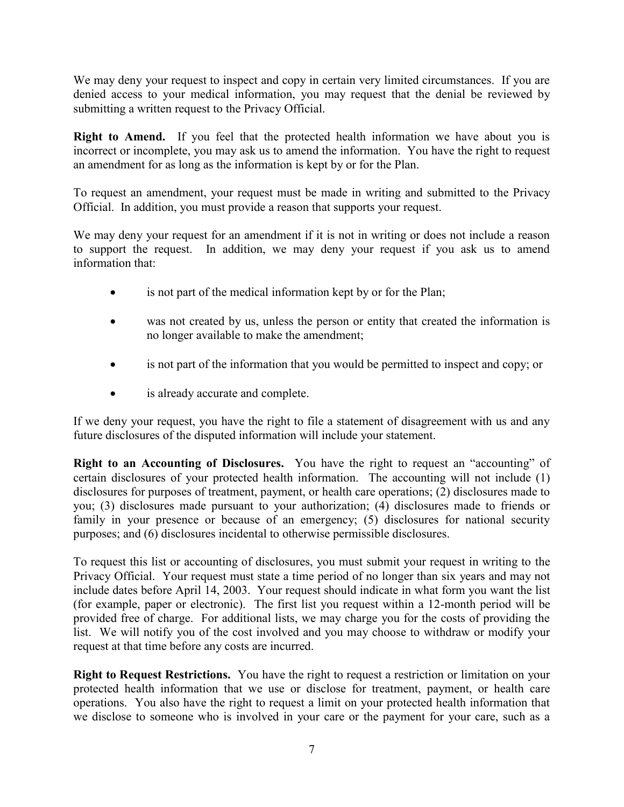We may deny your request to inspect and copy in certain very limited circumstances. If you are denied access to your medical information, you may request that the denial be reviewed by submitting a written request to the Privacy Official.

**Right to Amend.** If you feel that the protected health information we have about you is incorrect or incomplete, you may ask us to amend the information. You have the right to request an amendment for as long as the information is kept by or for the Plan.

To request an amendment, your request must be made in writing and submitted to the Privacy Official. In addition, you must provide a reason that supports your request.

We may deny your request for an amendment if it is not in writing or does not include a reason to support the request. In addition, we may deny your request if you ask us to amend information that:

- is not part of the medical information kept by or for the Plan;
- was not created by us, unless the person or entity that created the information is no longer available to make the amendment;
- is not part of the information that you would be permitted to inspect and copy; or
- is already accurate and complete.

If we deny your request, you have the right to file a statement of disagreement with us and any future disclosures of the disputed information will include your statement.

**Right to an Accounting of Disclosures.** You have the right to request an "accounting" of certain disclosures of your protected health information. The accounting will not include (1) disclosures for purposes of treatment, payment, or health care operations; (2) disclosures made to you; (3) disclosures made pursuant to your authorization; (4) disclosures made to friends or family in your presence or because of an emergency; (5) disclosures for national security purposes; and (6) disclosures incidental to otherwise permissible disclosures.

To request this list or accounting of disclosures, you must submit your request in writing to the Privacy Official. Your request must state a time period of no longer than six years and may not include dates before April 14, 2003. Your request should indicate in what form you want the list (for example, paper or electronic). The first list you request within a 12-month period will be provided free of charge. For additional lists, we may charge you for the costs of providing the list. We will notify you of the cost involved and you may choose to withdraw or modify your request at that time before any costs are incurred.

**Right to Request Restrictions.** You have the right to request a restriction or limitation on your protected health information that we use or disclose for treatment, payment, or health care operations. You also have the right to request a limit on your protected health information that we disclose to someone who is involved in your care or the payment for your care, such as a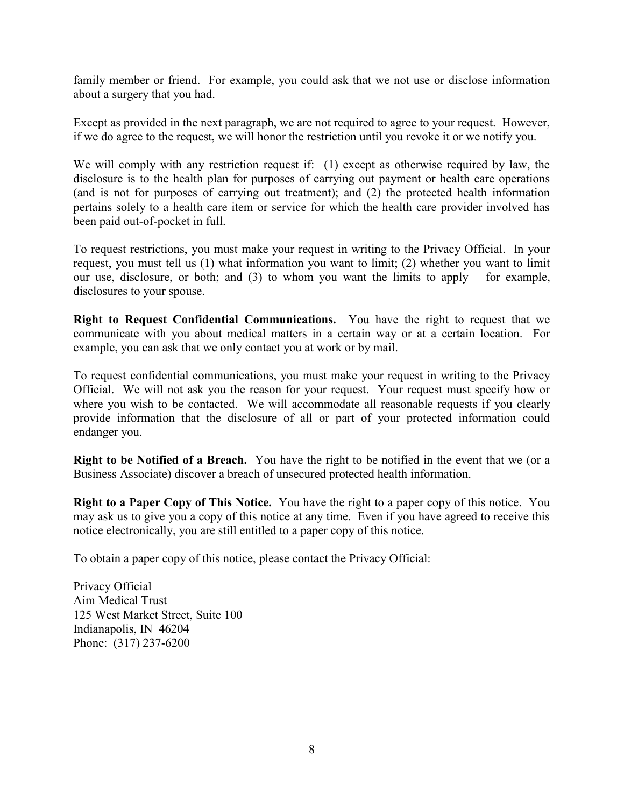family member or friend. For example, you could ask that we not use or disclose information about a surgery that you had.

Except as provided in the next paragraph, we are not required to agree to your request. However, if we do agree to the request, we will honor the restriction until you revoke it or we notify you.

We will comply with any restriction request if: (1) except as otherwise required by law, the disclosure is to the health plan for purposes of carrying out payment or health care operations (and is not for purposes of carrying out treatment); and (2) the protected health information pertains solely to a health care item or service for which the health care provider involved has been paid out-of-pocket in full.

To request restrictions, you must make your request in writing to the Privacy Official. In your request, you must tell us (1) what information you want to limit; (2) whether you want to limit our use, disclosure, or both; and  $(3)$  to whom you want the limits to apply – for example, disclosures to your spouse.

**Right to Request Confidential Communications.** You have the right to request that we communicate with you about medical matters in a certain way or at a certain location. For example, you can ask that we only contact you at work or by mail.

To request confidential communications, you must make your request in writing to the Privacy Official. We will not ask you the reason for your request. Your request must specify how or where you wish to be contacted. We will accommodate all reasonable requests if you clearly provide information that the disclosure of all or part of your protected information could endanger you.

**Right to be Notified of a Breach.** You have the right to be notified in the event that we (or a Business Associate) discover a breach of unsecured protected health information.

**Right to a Paper Copy of This Notice.** You have the right to a paper copy of this notice. You may ask us to give you a copy of this notice at any time. Even if you have agreed to receive this notice electronically, you are still entitled to a paper copy of this notice.

To obtain a paper copy of this notice, please contact the Privacy Official:

Privacy Official Aim Medical Trust 125 West Market Street, Suite 100 Indianapolis, IN 46204 Phone: (317) 237-6200